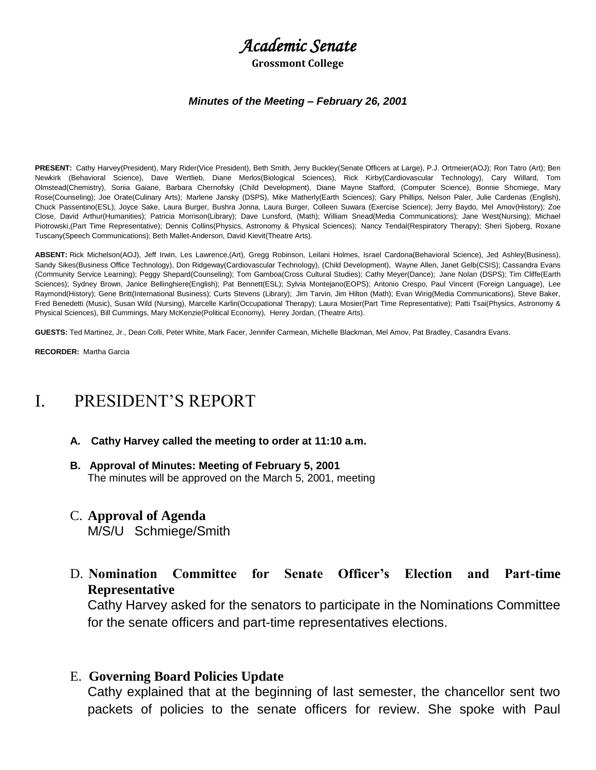# *Academic Senate*

**Grossmont College**

#### *Minutes of the Meeting* **–** *February 26, 2001*

**PRESENT:** Cathy Harvey(President), Mary Rider(Vice President), Beth Smith, Jerry Buckley(Senate Officers at Large), P.J. Ortmeier(AOJ); Ron Tatro (Art); Ben Newkirk (Behavioral Science), Dave Wertlieb, Diane Merlos(Biological Sciences), Rick Kirby(Cardiovascular Technology), Cary Willard, Tom Olmstead(Chemistry), Sonia Gaiane, Barbara Chernofsky (Child Development), Diane Mayne Stafford, (Computer Science), Bonnie Shcmiege, Mary Rose(Counseling); Joe Orate(Culinary Arts); Marlene Jansky (DSPS), Mike Matherly(Earth Sciences); Gary Phillips, Nelson Paler, Julie Cardenas (English), Chuck Passentino(ESL); Joyce Sake, Laura Burger, Bushra Jonna, Laura Burger, Colleen Suwara (Exercise Science); Jerry Baydo, Mel Amov(History); Zoe Close, David Arthur(Humanities); Patricia Morrison(Library); Dave Lunsford, (Math); William Snead(Media Communications); Jane West(Nursing); Michael Piotrowski,(Part Time Representative); Dennis Collins(Physics, Astronomy & Physical Sciences); Nancy Tendal(Respiratory Therapy); Sheri Sjoberg, Roxane Tuscany(Speech Communications); Beth Mallet-Anderson, David Kievit(Theatre Arts).

**ABSENT:** Rick Michelson(AOJ), Jeff Irwin, Les Lawrence,(Art), Gregg Robinson, Leilani Holmes, Israel Cardona(Behavioral Science), Jed Ashley(Business), Sandy Sikes(Business Office Technology), Don Ridgeway(Cardiovascular Technology), (Child Development), Wayne Allen, Janet Gelb(CSIS); Cassandra Evans (Community Service Learning); Peggy Shepard(Counseling); Tom Gamboa(Cross Cultural Studies); Cathy Meyer(Dance); Jane Nolan (DSPS); Tim Cliffe(Earth Sciences); Sydney Brown, Janice Bellinghiere(English); Pat Bennett(ESL); Sylvia Montejano(EOPS); Antonio Crespo, Paul Vincent (Foreign Language), Lee Raymond(History); Gene Britt(International Business); Curts Stevens (Library); Jim Tarvin, Jim Hilton (Math); Evan Wirig(Media Communications), Steve Baker, Fred Benedetti (Music), Susan Wild (Nursing), Marcelle Karlin(Occupational Therapy); Laura Mosier(Part Time Representative); Patti Tsai(Physics, Astronomy & Physical Sciences), Bill Cummings, Mary McKenzie(Political Economy), Henry Jordan, (Theatre Arts).

**GUESTS:** Ted Martinez, Jr., Dean Colli, Peter White, Mark Facer, Jennifer Carmean, Michelle Blackman, Mel Amov, Pat Bradley, Casandra Evans.

**RECORDER:** Martha Garcia

# I. PRESIDENT'S REPORT

- **A. Cathy Harvey called the meeting to order at 11:10 a.m.**
- **B. Approval of Minutes: Meeting of February 5, 2001** The minutes will be approved on the March 5, 2001, meeting
- C. **Approval of Agenda**

M/S/U Schmiege/Smith

D. **Nomination Committee for Senate Officer's Election and Part-time Representative**

Cathy Harvey asked for the senators to participate in the Nominations Committee for the senate officers and part-time representatives elections.

E. **Governing Board Policies Update**

Cathy explained that at the beginning of last semester, the chancellor sent two packets of policies to the senate officers for review. She spoke with Paul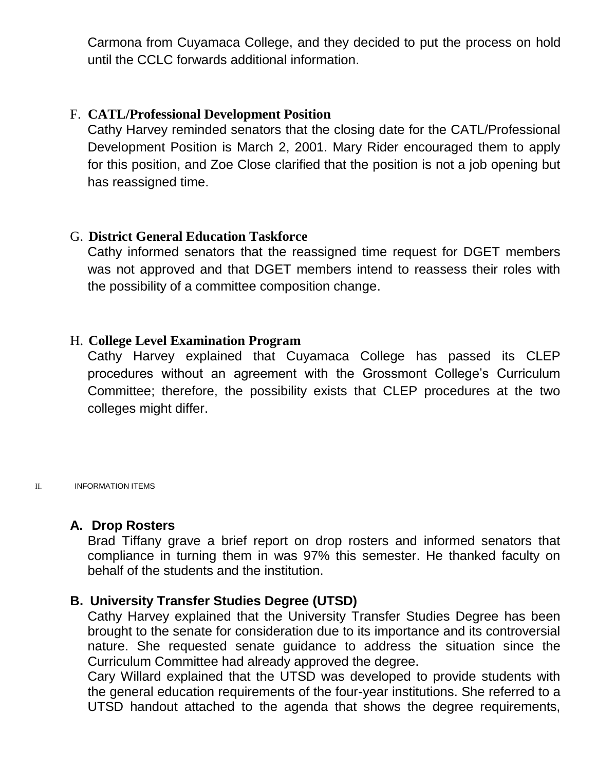Carmona from Cuyamaca College, and they decided to put the process on hold until the CCLC forwards additional information.

# F. **CATL/Professional Development Position**

Cathy Harvey reminded senators that the closing date for the CATL/Professional Development Position is March 2, 2001. Mary Rider encouraged them to apply for this position, and Zoe Close clarified that the position is not a job opening but has reassigned time.

# G. **District General Education Taskforce**

Cathy informed senators that the reassigned time request for DGET members was not approved and that DGET members intend to reassess their roles with the possibility of a committee composition change.

# H. **College Level Examination Program**

Cathy Harvey explained that Cuyamaca College has passed its CLEP procedures without an agreement with the Grossmont College's Curriculum Committee; therefore, the possibility exists that CLEP procedures at the two colleges might differ.

II. INFORMATION ITEMS

# **A. Drop Rosters**

Brad Tiffany grave a brief report on drop rosters and informed senators that compliance in turning them in was 97% this semester. He thanked faculty on behalf of the students and the institution.

# **B. University Transfer Studies Degree (UTSD)**

Cathy Harvey explained that the University Transfer Studies Degree has been brought to the senate for consideration due to its importance and its controversial nature. She requested senate guidance to address the situation since the Curriculum Committee had already approved the degree.

Cary Willard explained that the UTSD was developed to provide students with the general education requirements of the four-year institutions. She referred to a UTSD handout attached to the agenda that shows the degree requirements,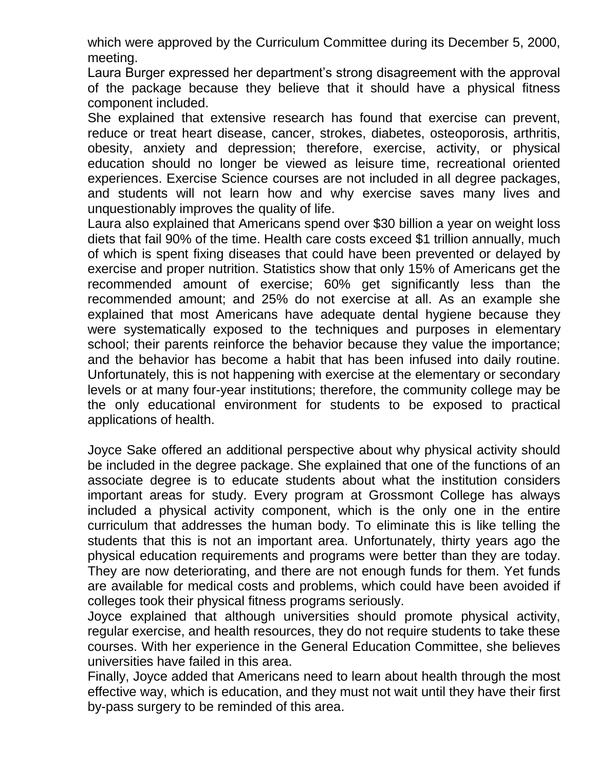which were approved by the Curriculum Committee during its December 5, 2000, meeting.

Laura Burger expressed her department's strong disagreement with the approval of the package because they believe that it should have a physical fitness component included.

She explained that extensive research has found that exercise can prevent, reduce or treat heart disease, cancer, strokes, diabetes, osteoporosis, arthritis, obesity, anxiety and depression; therefore, exercise, activity, or physical education should no longer be viewed as leisure time, recreational oriented experiences. Exercise Science courses are not included in all degree packages, and students will not learn how and why exercise saves many lives and unquestionably improves the quality of life.

Laura also explained that Americans spend over \$30 billion a year on weight loss diets that fail 90% of the time. Health care costs exceed \$1 trillion annually, much of which is spent fixing diseases that could have been prevented or delayed by exercise and proper nutrition. Statistics show that only 15% of Americans get the recommended amount of exercise; 60% get significantly less than the recommended amount; and 25% do not exercise at all. As an example she explained that most Americans have adequate dental hygiene because they were systematically exposed to the techniques and purposes in elementary school; their parents reinforce the behavior because they value the importance; and the behavior has become a habit that has been infused into daily routine. Unfortunately, this is not happening with exercise at the elementary or secondary levels or at many four-year institutions; therefore, the community college may be the only educational environment for students to be exposed to practical applications of health.

Joyce Sake offered an additional perspective about why physical activity should be included in the degree package. She explained that one of the functions of an associate degree is to educate students about what the institution considers important areas for study. Every program at Grossmont College has always included a physical activity component, which is the only one in the entire curriculum that addresses the human body. To eliminate this is like telling the students that this is not an important area. Unfortunately, thirty years ago the physical education requirements and programs were better than they are today. They are now deteriorating, and there are not enough funds for them. Yet funds are available for medical costs and problems, which could have been avoided if colleges took their physical fitness programs seriously.

Joyce explained that although universities should promote physical activity, regular exercise, and health resources, they do not require students to take these courses. With her experience in the General Education Committee, she believes universities have failed in this area.

Finally, Joyce added that Americans need to learn about health through the most effective way, which is education, and they must not wait until they have their first by-pass surgery to be reminded of this area.